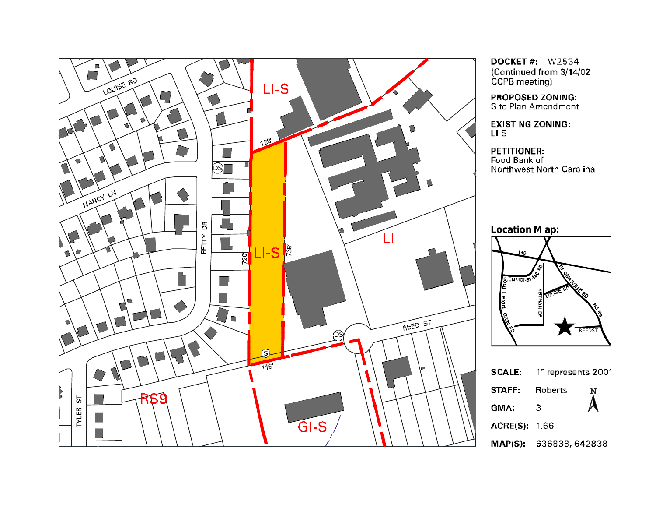

**DOCKET #: W2534** (Continued from 3/14/02 CCPB meeting)

PROPOSED ZONING: Site Plan Amendment

**EXISTING ZONING:**  $LI-S$ 

**PETITIONER:** Food Bank of Northwest North Carolina

**Location M ap:**



|               | <b>SCALE:</b> 1" represents 200' |                        |
|---------------|----------------------------------|------------------------|
| STAFF:        | Roberts                          | N                      |
| GMA.          | З                                | $\boldsymbol{\Lambda}$ |
| ACRE(S): 1.66 |                                  |                        |
|               | MAP(S): 636838,642838            |                        |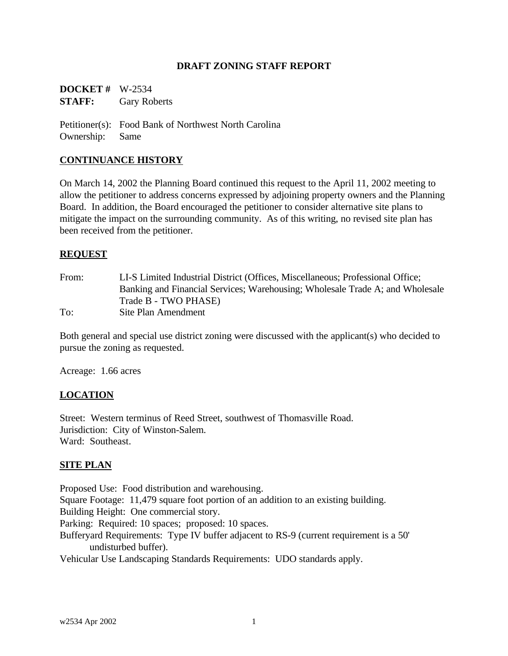## **DRAFT ZONING STAFF REPORT**

**DOCKET #** W-2534 **STAFF:** Gary Roberts

Petitioner(s): Food Bank of Northwest North Carolina Ownership: Same

## **CONTINUANCE HISTORY**

On March 14, 2002 the Planning Board continued this request to the April 11, 2002 meeting to allow the petitioner to address concerns expressed by adjoining property owners and the Planning Board. In addition, the Board encouraged the petitioner to consider alternative site plans to mitigate the impact on the surrounding community. As of this writing, no revised site plan has been received from the petitioner.

### **REQUEST**

| From: | LI-S Limited Industrial District (Offices, Miscellaneous; Professional Office; |
|-------|--------------------------------------------------------------------------------|
|       | Banking and Financial Services; Warehousing; Wholesale Trade A; and Wholesale  |
|       | Trade B - TWO PHASE)                                                           |
| To:   | Site Plan Amendment                                                            |

Both general and special use district zoning were discussed with the applicant(s) who decided to pursue the zoning as requested.

Acreage: 1.66 acres

### **LOCATION**

Street: Western terminus of Reed Street, southwest of Thomasville Road. Jurisdiction: City of Winston-Salem. Ward: Southeast.

### **SITE PLAN**

Proposed Use: Food distribution and warehousing. Square Footage: 11,479 square foot portion of an addition to an existing building. Building Height: One commercial story. Parking: Required: 10 spaces; proposed: 10 spaces. Bufferyard Requirements: Type IV buffer adjacent to RS-9 (current requirement is a 50' undisturbed buffer).

Vehicular Use Landscaping Standards Requirements: UDO standards apply.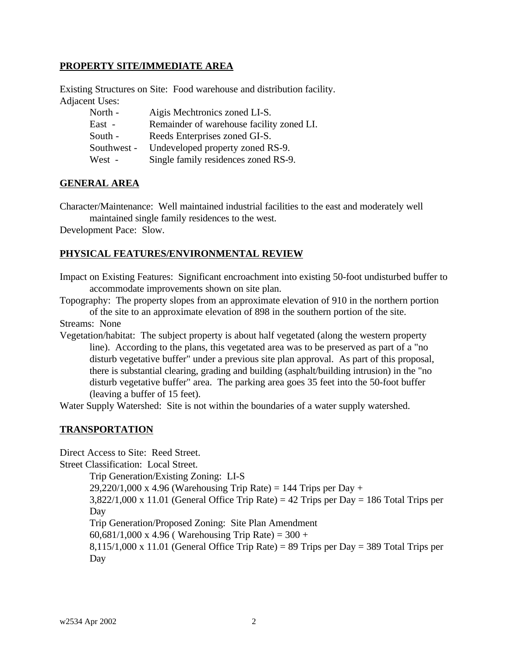## **PROPERTY SITE/IMMEDIATE AREA**

Existing Structures on Site: Food warehouse and distribution facility. Adjacent Uses:

| North -     | Aigis Mechtronics zoned LI-S.             |
|-------------|-------------------------------------------|
| East -      | Remainder of warehouse facility zoned LI. |
| South -     | Reeds Enterprises zoned GI-S.             |
| Southwest - | Undeveloped property zoned RS-9.          |
| West -      | Single family residences zoned RS-9.      |

### **GENERAL AREA**

Character/Maintenance: Well maintained industrial facilities to the east and moderately well maintained single family residences to the west.

Development Pace: Slow.

## **PHYSICAL FEATURES/ENVIRONMENTAL REVIEW**

Impact on Existing Features: Significant encroachment into existing 50-foot undisturbed buffer to accommodate improvements shown on site plan.

Topography: The property slopes from an approximate elevation of 910 in the northern portion of the site to an approximate elevation of 898 in the southern portion of the site.

Streams: None

Vegetation/habitat: The subject property is about half vegetated (along the western property line). According to the plans, this vegetated area was to be preserved as part of a "no disturb vegetative buffer" under a previous site plan approval. As part of this proposal, there is substantial clearing, grading and building (asphalt/building intrusion) in the "no disturb vegetative buffer" area. The parking area goes 35 feet into the 50-foot buffer (leaving a buffer of 15 feet).

Water Supply Watershed: Site is not within the boundaries of a water supply watershed.

## **TRANSPORTATION**

Direct Access to Site: Reed Street.

Street Classification: Local Street.

Trip Generation/Existing Zoning: LI-S  $29,220/1,000 \text{ x } 4.96$  (Warehousing Trip Rate) = 144 Trips per Day +  $3,822/1,000 \times 11.01$  (General Office Trip Rate) = 42 Trips per Day = 186 Total Trips per Day Trip Generation/Proposed Zoning: Site Plan Amendment 60,681/1,000 x 4.96 ( Warehousing Trip Rate) =  $300 +$  $8,115/1,000 \times 11.01$  (General Office Trip Rate) = 89 Trips per Day = 389 Total Trips per Day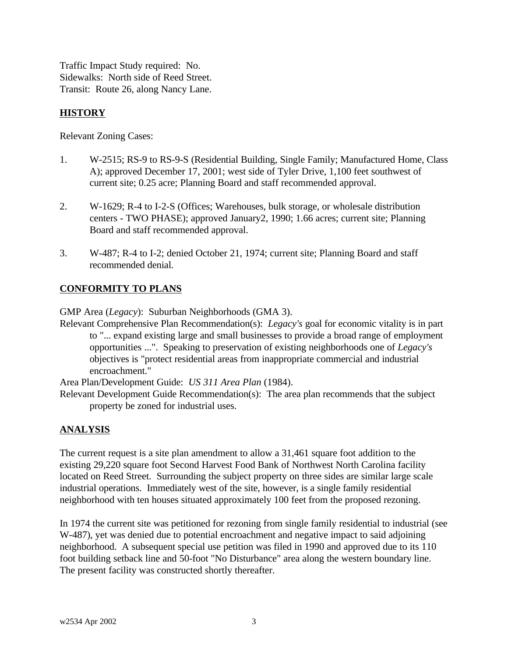Traffic Impact Study required: No. Sidewalks: North side of Reed Street. Transit: Route 26, along Nancy Lane.

# **HISTORY**

Relevant Zoning Cases:

- 1. W-2515; RS-9 to RS-9-S (Residential Building, Single Family; Manufactured Home, Class A); approved December 17, 2001; west side of Tyler Drive, 1,100 feet southwest of current site; 0.25 acre; Planning Board and staff recommended approval.
- 2. W-1629; R-4 to I-2-S (Offices; Warehouses, bulk storage, or wholesale distribution centers - TWO PHASE); approved January2, 1990; 1.66 acres; current site; Planning Board and staff recommended approval.
- 3. W-487; R-4 to I-2; denied October 21, 1974; current site; Planning Board and staff recommended denial.

# **CONFORMITY TO PLANS**

GMP Area (*Legacy*): Suburban Neighborhoods (GMA 3).

Relevant Comprehensive Plan Recommendation(s): *Legacy's* goal for economic vitality is in part to "... expand existing large and small businesses to provide a broad range of employment opportunities ...". Speaking to preservation of existing neighborhoods one of *Legacy's* objectives is "protect residential areas from inappropriate commercial and industrial encroachment."

Area Plan/Development Guide: *US 311 Area Plan* (1984).

Relevant Development Guide Recommendation(s): The area plan recommends that the subject property be zoned for industrial uses.

# **ANALYSIS**

The current request is a site plan amendment to allow a 31,461 square foot addition to the existing 29,220 square foot Second Harvest Food Bank of Northwest North Carolina facility located on Reed Street. Surrounding the subject property on three sides are similar large scale industrial operations. Immediately west of the site, however, is a single family residential neighborhood with ten houses situated approximately 100 feet from the proposed rezoning.

In 1974 the current site was petitioned for rezoning from single family residential to industrial (see W-487), yet was denied due to potential encroachment and negative impact to said adjoining neighborhood. A subsequent special use petition was filed in 1990 and approved due to its 110 foot building setback line and 50-foot "No Disturbance" area along the western boundary line. The present facility was constructed shortly thereafter.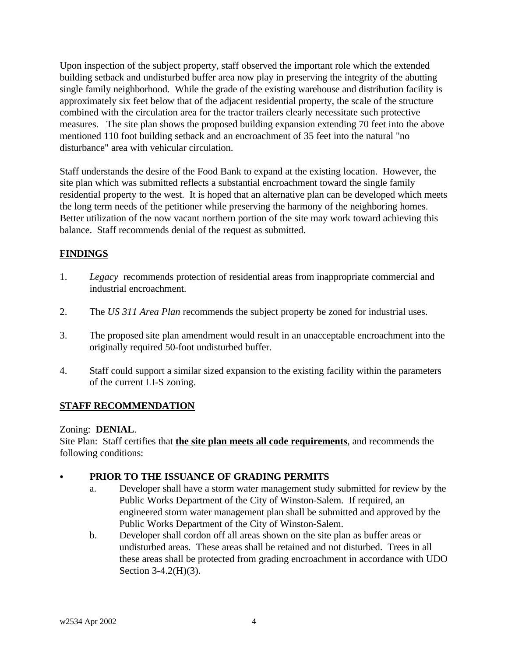Upon inspection of the subject property, staff observed the important role which the extended building setback and undisturbed buffer area now play in preserving the integrity of the abutting single family neighborhood. While the grade of the existing warehouse and distribution facility is approximately six feet below that of the adjacent residential property, the scale of the structure combined with the circulation area for the tractor trailers clearly necessitate such protective measures. The site plan shows the proposed building expansion extending 70 feet into the above mentioned 110 foot building setback and an encroachment of 35 feet into the natural "no disturbance" area with vehicular circulation.

Staff understands the desire of the Food Bank to expand at the existing location. However, the site plan which was submitted reflects a substantial encroachment toward the single family residential property to the west. It is hoped that an alternative plan can be developed which meets the long term needs of the petitioner while preserving the harmony of the neighboring homes. Better utilization of the now vacant northern portion of the site may work toward achieving this balance. Staff recommends denial of the request as submitted.

# **FINDINGS**

- 1. *Legacy* recommends protection of residential areas from inappropriate commercial and industrial encroachment.
- 2. The *US 311 Area Plan* recommends the subject property be zoned for industrial uses.
- 3. The proposed site plan amendment would result in an unacceptable encroachment into the originally required 50-foot undisturbed buffer.
- 4. Staff could support a similar sized expansion to the existing facility within the parameters of the current LI-S zoning.

# **STAFF RECOMMENDATION**

# Zoning: **DENIAL**.

Site Plan: Staff certifies that **the site plan meets all code requirements**, and recommends the following conditions:

# PRIOR TO THE ISSUANCE OF GRADING PERMITS

- a. Developer shall have a storm water management study submitted for review by the Public Works Department of the City of Winston-Salem. If required, an engineered storm water management plan shall be submitted and approved by the Public Works Department of the City of Winston-Salem.
- b. Developer shall cordon off all areas shown on the site plan as buffer areas or undisturbed areas. These areas shall be retained and not disturbed. Trees in all these areas shall be protected from grading encroachment in accordance with UDO Section 3-4.2(H)(3).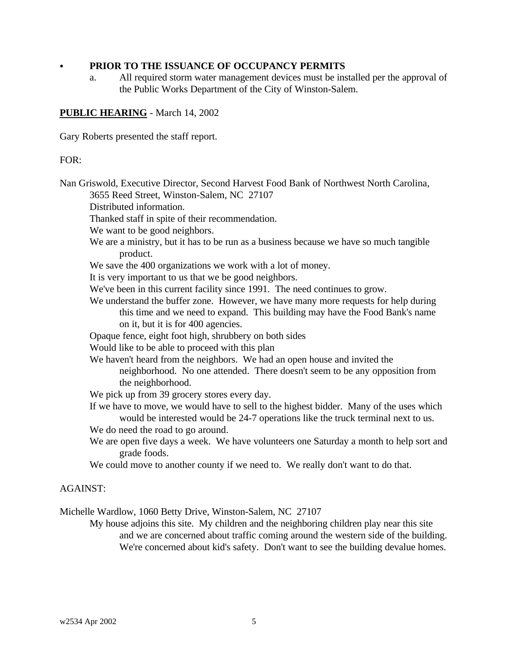## C **PRIOR TO THE ISSUANCE OF OCCUPANCY PERMITS**

a. All required storm water management devices must be installed per the approval of the Public Works Department of the City of Winston-Salem.

## **PUBLIC HEARING** - March 14, 2002

Gary Roberts presented the staff report.

### FOR:

Nan Griswold, Executive Director, Second Harvest Food Bank of Northwest North Carolina, 3655 Reed Street, Winston-Salem, NC 27107 Distributed information. Thanked staff in spite of their recommendation. We want to be good neighbors. We are a ministry, but it has to be run as a business because we have so much tangible product. We save the 400 organizations we work with a lot of money. It is very important to us that we be good neighbors. We've been in this current facility since 1991. The need continues to grow. We understand the buffer zone. However, we have many more requests for help during this time and we need to expand. This building may have the Food Bank's name on it, but it is for 400 agencies. Opaque fence, eight foot high, shrubbery on both sides Would like to be able to proceed with this plan We haven't heard from the neighbors. We had an open house and invited the neighborhood. No one attended. There doesn't seem to be any opposition from the neighborhood. We pick up from 39 grocery stores every day. If we have to move, we would have to sell to the highest bidder. Many of the uses which would be interested would be 24-7 operations like the truck terminal next to us. We do need the road to go around. We are open five days a week. We have volunteers one Saturday a month to help sort and grade foods. We could move to another county if we need to. We really don't want to do that. AGAINST: Michelle Wardlow, 1060 Betty Drive, Winston-Salem, NC 27107

My house adjoins this site. My children and the neighboring children play near this site and we are concerned about traffic coming around the western side of the building. We're concerned about kid's safety. Don't want to see the building devalue homes.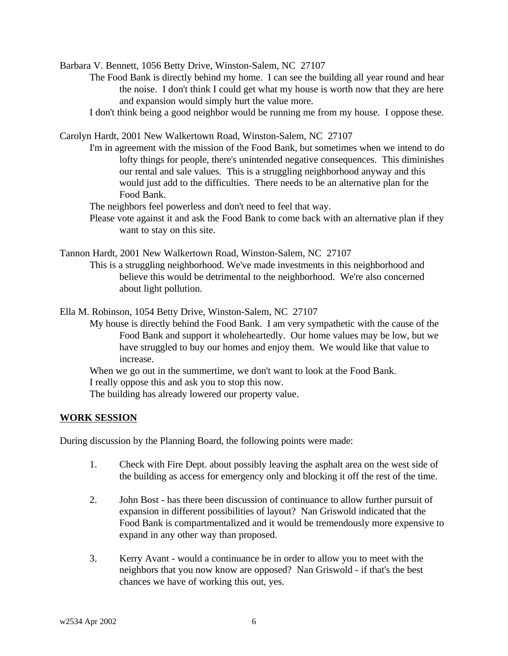Barbara V. Bennett, 1056 Betty Drive, Winston-Salem, NC 27107

- The Food Bank is directly behind my home. I can see the building all year round and hear the noise. I don't think I could get what my house is worth now that they are here and expansion would simply hurt the value more.
- I don't think being a good neighbor would be running me from my house. I oppose these.

Carolyn Hardt, 2001 New Walkertown Road, Winston-Salem, NC 27107

- I'm in agreement with the mission of the Food Bank, but sometimes when we intend to do lofty things for people, there's unintended negative consequences. This diminishes our rental and sale values. This is a struggling neighborhood anyway and this would just add to the difficulties. There needs to be an alternative plan for the Food Bank.
- The neighbors feel powerless and don't need to feel that way.
- Please vote against it and ask the Food Bank to come back with an alternative plan if they want to stay on this site.
- Tannon Hardt, 2001 New Walkertown Road, Winston-Salem, NC 27107 This is a struggling neighborhood. We've made investments in this neighborhood and believe this would be detrimental to the neighborhood. We're also concerned about light pollution.

Ella M. Robinson, 1054 Betty Drive, Winston-Salem, NC 27107

My house is directly behind the Food Bank. I am very sympathetic with the cause of the Food Bank and support it wholeheartedly. Our home values may be low, but we have struggled to buy our homes and enjoy them. We would like that value to increase.

When we go out in the summertime, we don't want to look at the Food Bank.

I really oppose this and ask you to stop this now.

The building has already lowered our property value.

### **WORK SESSION**

During discussion by the Planning Board, the following points were made:

- 1. Check with Fire Dept. about possibly leaving the asphalt area on the west side of the building as access for emergency only and blocking it off the rest of the time.
- 2. John Bost has there been discussion of continuance to allow further pursuit of expansion in different possibilities of layout? Nan Griswold indicated that the Food Bank is compartmentalized and it would be tremendously more expensive to expand in any other way than proposed.
- 3. Kerry Avant would a continuance be in order to allow you to meet with the neighbors that you now know are opposed? Nan Griswold - if that's the best chances we have of working this out, yes.